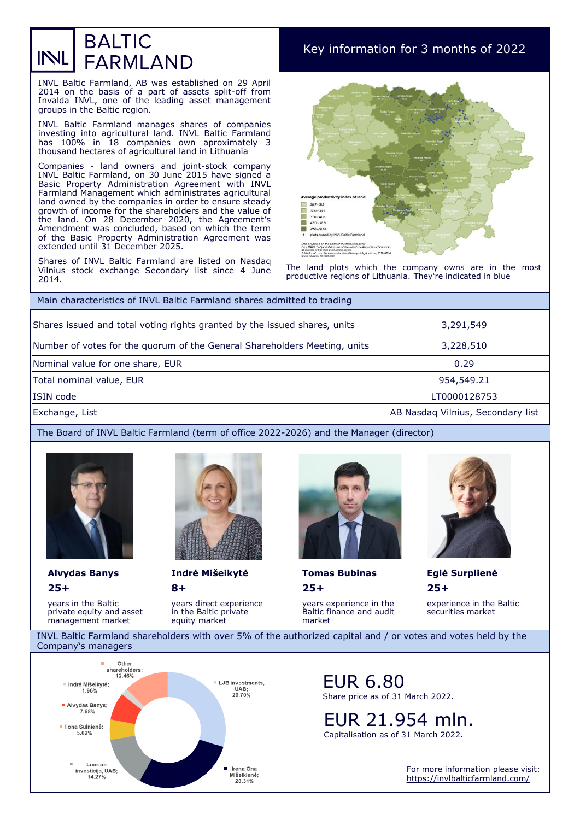## **BALTIC** INL **FARMLAND**

Key information for 3 months of 2022

INVL Baltic Farmland, AB was established on 29 April 2014 on the basis of a part of assets split-off from Invalda INVL, one of the leading asset management groups in the Baltic region.

INVL Baltic Farmland manages shares of companies investing into agricultural land. INVL Baltic Farmland has 100% in 18 companies own aproximately 3 thousand hectares of agricultural land in Lithuania

Companies - land owners and joint-stock company INVL Baltic Farmland, on 30 June 2015 have signed a Basic Property Administration Agreement with INVL Farmland Management which administrates agricultural land owned by the companies in order to ensure steady growth of income for the shareholders and the value of the land. On 28 December 2020, the Agreement's Amendment was concluded, based on which the term of the Basic Property Administration Agreement was extended until 31 December 2025.

Shares of INVL Baltic Farmland are listed on Nasdaq Vilnius stock exchange Secondary list since 4 June 2014.



The land plots which the company owns are in the most productive regions of Lithuania. They're indicated in blue

| Main characteristics of INVL Baltic Farmland shares admitted to trading   |                                   |  |  |
|---------------------------------------------------------------------------|-----------------------------------|--|--|
| Shares issued and total voting rights granted by the issued shares, units | 3,291,549                         |  |  |
| Number of votes for the quorum of the General Shareholders Meeting, units | 3,228,510                         |  |  |
| Nominal value for one share, EUR                                          | 0.29                              |  |  |
| Total nominal value, EUR                                                  | 954,549.21                        |  |  |
| ISIN code                                                                 | LT0000128753                      |  |  |
| Exchange, List                                                            | AB Nasdag Vilnius, Secondary list |  |  |

The Board of INVL Baltic Farmland (term of office 2022-2026) and the Manager (director)



years in the Baltic private equity and asset management market

**25+** 

**Alvydas Banys Indrė Mišeikytė Tomas Bubinas Eglė Surplienė**

**8+** 

years direct experience in the Baltic private equity market



**25+**  years experience in the Baltic finance and audit

market



**25+**  experience in the Baltic securities market

INVL Baltic Farmland shareholders with over 5% of the authorized capital and / or votes and votes held by the Company's managers



## EUR 6.80 Share price as of 31 March 2022.

EUR 21.954 mln.

Capitalisation as of 31 March 2022.

For more information please visit: <https://invlbalticfarmland.com/>